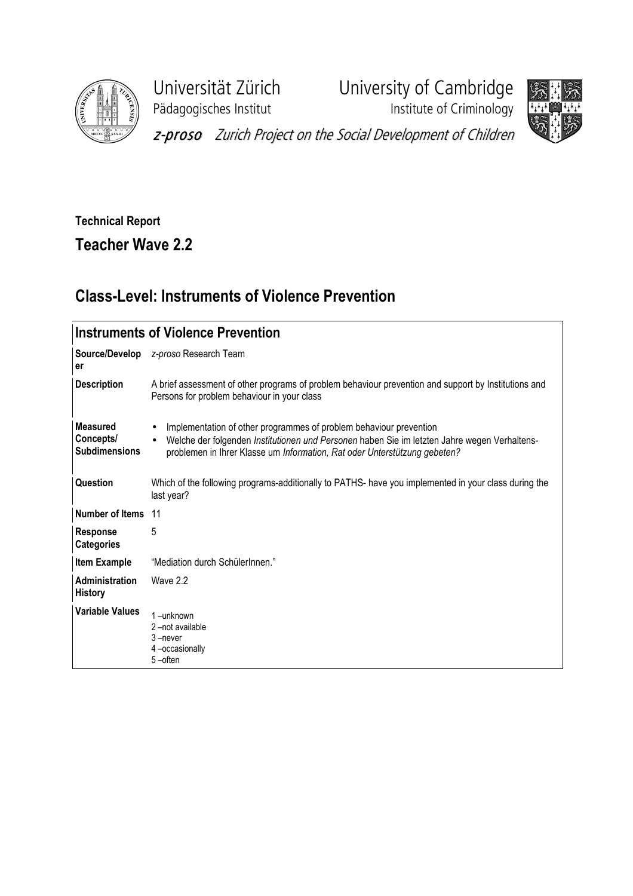

Pädagogisches Institut **Institute of Criminology** 

Universität Zürich University of Cambridge



z-proso Zurich Project on the Social Development of Children

## Technical Report

Teacher Wave 2.2

## Class-Level: Instruments of Violence Prevention

| <b>Instruments of Violence Prevention</b>            |                                                                                                                                                                                                                                                                           |  |  |  |  |
|------------------------------------------------------|---------------------------------------------------------------------------------------------------------------------------------------------------------------------------------------------------------------------------------------------------------------------------|--|--|--|--|
| er                                                   | Source/Develop z-proso Research Team                                                                                                                                                                                                                                      |  |  |  |  |
| <b>Description</b>                                   | A brief assessment of other programs of problem behaviour prevention and support by Institutions and<br>Persons for problem behaviour in your class                                                                                                                       |  |  |  |  |
| <b>Measured</b><br>Concepts/<br><b>Subdimensions</b> | Implementation of other programmes of problem behaviour prevention<br>$\bullet$<br>Welche der folgenden Institutionen und Personen haben Sie im letzten Jahre wegen Verhaltens-<br>$\bullet$<br>problemen in Ihrer Klasse um Information, Rat oder Unterstützung gebeten? |  |  |  |  |
| Question                                             | Which of the following programs-additionally to PATHS- have you implemented in your class during the<br>last year?                                                                                                                                                        |  |  |  |  |
| Number of Items 11                                   |                                                                                                                                                                                                                                                                           |  |  |  |  |
| <b>Response</b><br><b>Categories</b>                 | 5                                                                                                                                                                                                                                                                         |  |  |  |  |
| Item Example                                         | "Mediation durch SchülerInnen."                                                                                                                                                                                                                                           |  |  |  |  |
| <b>Administration</b><br><b>History</b>              | Wave 2.2                                                                                                                                                                                                                                                                  |  |  |  |  |
| <b>Variable Values</b>                               | $1 -$ unknown<br>2-not available<br>3-never<br>4-occasionally<br>5-often                                                                                                                                                                                                  |  |  |  |  |